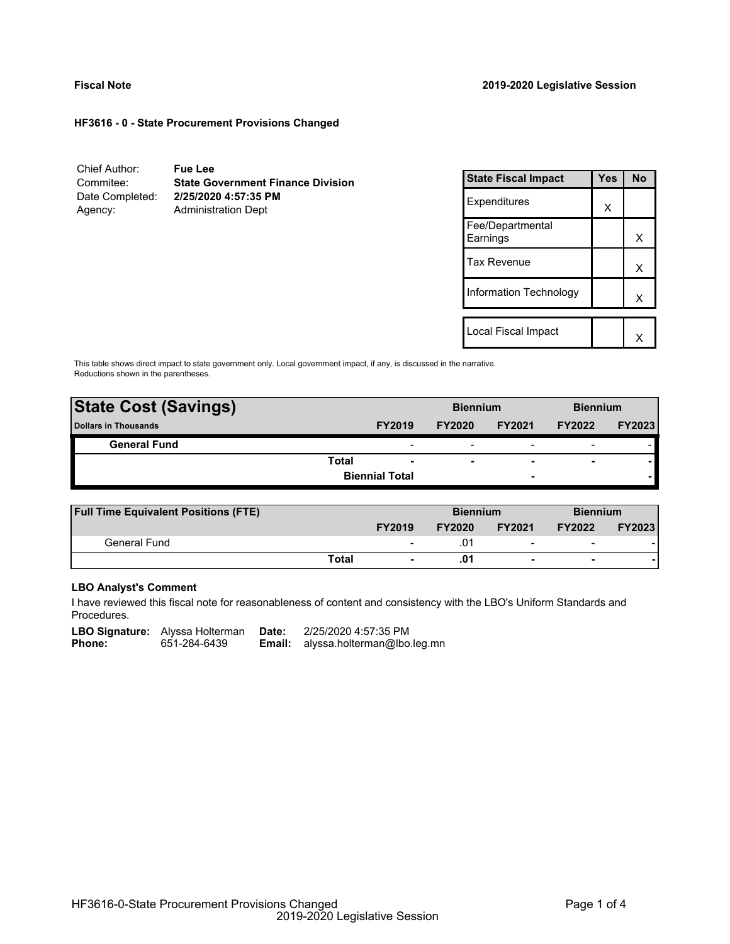## **Fiscal Note 2019-2020 Legislative Session**

## **HF3616 - 0 - State Procurement Provisions Changed**

Chief Author: **Fue Lee** Commitee: **State Government Finance Division** Date Completed: **2/25/2020 4:57:35 PM** Agency: Administration Dept

| <b>State Fiscal Impact</b>   | Yes | N٥ |
|------------------------------|-----|----|
| Expenditures                 | X   |    |
| Fee/Departmental<br>Earnings |     | x  |
| Tax Revenue                  |     | x  |
| Information Technology       |     | x  |
|                              |     |    |
| Local Fiscal Impact          |     |    |

This table shows direct impact to state government only. Local government impact, if any, is discussed in the narrative. Reductions shown in the parentheses.

| <b>State Cost (Savings)</b> |       |                          | <b>Biennium</b>          |                          | <b>Biennium</b>          |               |
|-----------------------------|-------|--------------------------|--------------------------|--------------------------|--------------------------|---------------|
| <b>Dollars in Thousands</b> |       | <b>FY2019</b>            | <b>FY2020</b>            | <b>FY2021</b>            | <b>FY2022</b>            | <b>FY2023</b> |
| <b>General Fund</b>         |       | $\overline{\phantom{0}}$ | $\overline{\phantom{0}}$ | $\overline{\phantom{0}}$ | $\overline{\phantom{0}}$ |               |
|                             | Total | $\overline{\phantom{a}}$ | $\overline{\phantom{a}}$ | $\overline{\phantom{0}}$ | $\overline{\phantom{a}}$ |               |
|                             |       | <b>Biennial Total</b>    |                          | -                        |                          |               |
|                             |       |                          |                          |                          |                          |               |

| <b>Full Time Equivalent Positions (FTE)</b> |       |                          | <b>Biennium</b> |                          | <b>Biennium</b>          |               |
|---------------------------------------------|-------|--------------------------|-----------------|--------------------------|--------------------------|---------------|
|                                             |       | <b>FY2019</b>            | <b>FY2020</b>   | <b>FY2021</b>            | <b>FY2022</b>            | <b>FY2023</b> |
| General Fund                                |       | $\overline{\phantom{0}}$ | .01             | $\overline{\phantom{0}}$ | $\overline{\phantom{a}}$ |               |
|                                             | Total | $\overline{\phantom{0}}$ | .01             | $\overline{\phantom{0}}$ | $\blacksquare$           |               |

# **LBO Analyst's Comment**

I have reviewed this fiscal note for reasonableness of content and consistency with the LBO's Uniform Standards and Procedures.

LBO Signature: Alyssa Holterman Date: 2/25/2020 4:57:35 PM<br>Phone: 651-284-6439 **Email:** alyssa.holterman@lbo **Email:** alyssa.holterman@lbo.leg.mn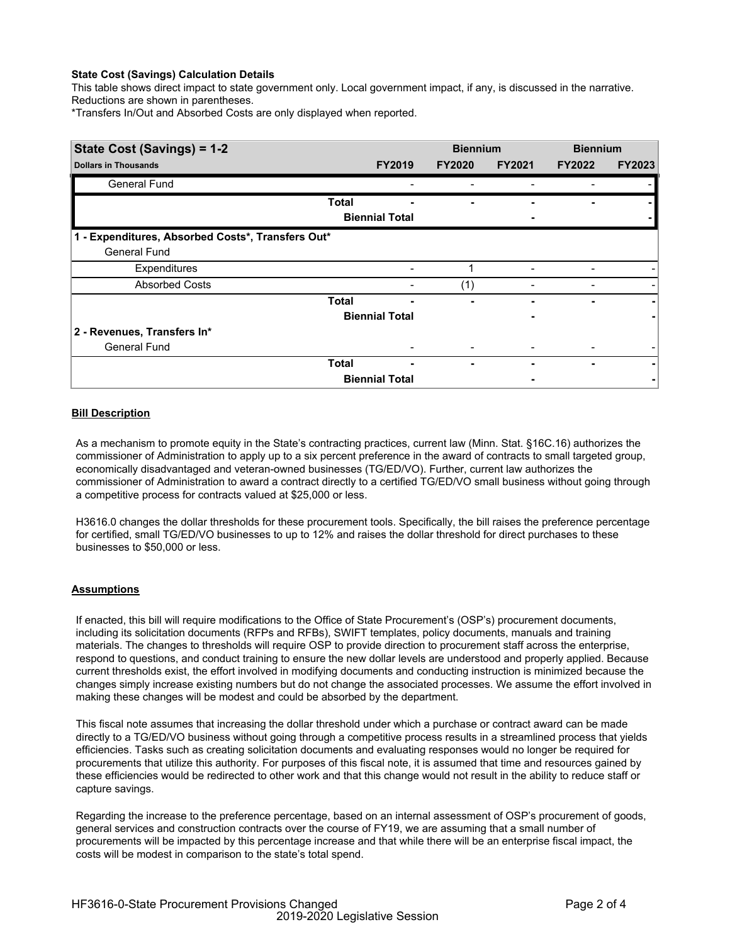# **State Cost (Savings) Calculation Details**

This table shows direct impact to state government only. Local government impact, if any, is discussed in the narrative. Reductions are shown in parentheses.

\*Transfers In/Out and Absorbed Costs are only displayed when reported.

| State Cost (Savings) = 1-2                        |              |                       | <b>Biennium</b> |               | <b>Biennium</b> |               |
|---------------------------------------------------|--------------|-----------------------|-----------------|---------------|-----------------|---------------|
| <b>Dollars in Thousands</b>                       |              | <b>FY2019</b>         | <b>FY2020</b>   | <b>FY2021</b> | <b>FY2022</b>   | <b>FY2023</b> |
| General Fund                                      |              |                       |                 |               |                 |               |
|                                                   | <b>Total</b> |                       |                 |               |                 |               |
|                                                   |              | <b>Biennial Total</b> |                 |               |                 |               |
| 1 - Expenditures, Absorbed Costs*, Transfers Out* |              |                       |                 |               |                 |               |
| <b>General Fund</b>                               |              |                       |                 |               |                 |               |
| Expenditures                                      |              |                       |                 |               |                 |               |
| <b>Absorbed Costs</b>                             |              |                       | (1)             |               |                 |               |
|                                                   | <b>Total</b> |                       |                 |               |                 |               |
|                                                   |              | <b>Biennial Total</b> |                 |               |                 |               |
| 2 - Revenues, Transfers In*                       |              |                       |                 |               |                 |               |
| <b>General Fund</b>                               |              |                       |                 |               |                 |               |
|                                                   | Total        | ۰                     |                 |               |                 |               |
|                                                   |              | <b>Biennial Total</b> |                 |               |                 |               |

# **Bill Description**

As a mechanism to promote equity in the State's contracting practices, current law (Minn. Stat. §16C.16) authorizes the commissioner of Administration to apply up to a six percent preference in the award of contracts to small targeted group, economically disadvantaged and veteran-owned businesses (TG/ED/VO). Further, current law authorizes the commissioner of Administration to award a contract directly to a certified TG/ED/VO small business without going through a competitive process for contracts valued at \$25,000 or less.

H3616.0 changes the dollar thresholds for these procurement tools. Specifically, the bill raises the preference percentage for certified, small TG/ED/VO businesses to up to 12% and raises the dollar threshold for direct purchases to these businesses to \$50,000 or less.

## **Assumptions**

If enacted, this bill will require modifications to the Office of State Procurement's (OSP's) procurement documents, including its solicitation documents (RFPs and RFBs), SWIFT templates, policy documents, manuals and training materials. The changes to thresholds will require OSP to provide direction to procurement staff across the enterprise, respond to questions, and conduct training to ensure the new dollar levels are understood and properly applied. Because current thresholds exist, the effort involved in modifying documents and conducting instruction is minimized because the changes simply increase existing numbers but do not change the associated processes. We assume the effort involved in making these changes will be modest and could be absorbed by the department.

This fiscal note assumes that increasing the dollar threshold under which a purchase or contract award can be made directly to a TG/ED/VO business without going through a competitive process results in a streamlined process that yields efficiencies. Tasks such as creating solicitation documents and evaluating responses would no longer be required for procurements that utilize this authority. For purposes of this fiscal note, it is assumed that time and resources gained by these efficiencies would be redirected to other work and that this change would not result in the ability to reduce staff or capture savings.

Regarding the increase to the preference percentage, based on an internal assessment of OSP's procurement of goods, general services and construction contracts over the course of FY19, we are assuming that a small number of procurements will be impacted by this percentage increase and that while there will be an enterprise fiscal impact, the costs will be modest in comparison to the state's total spend.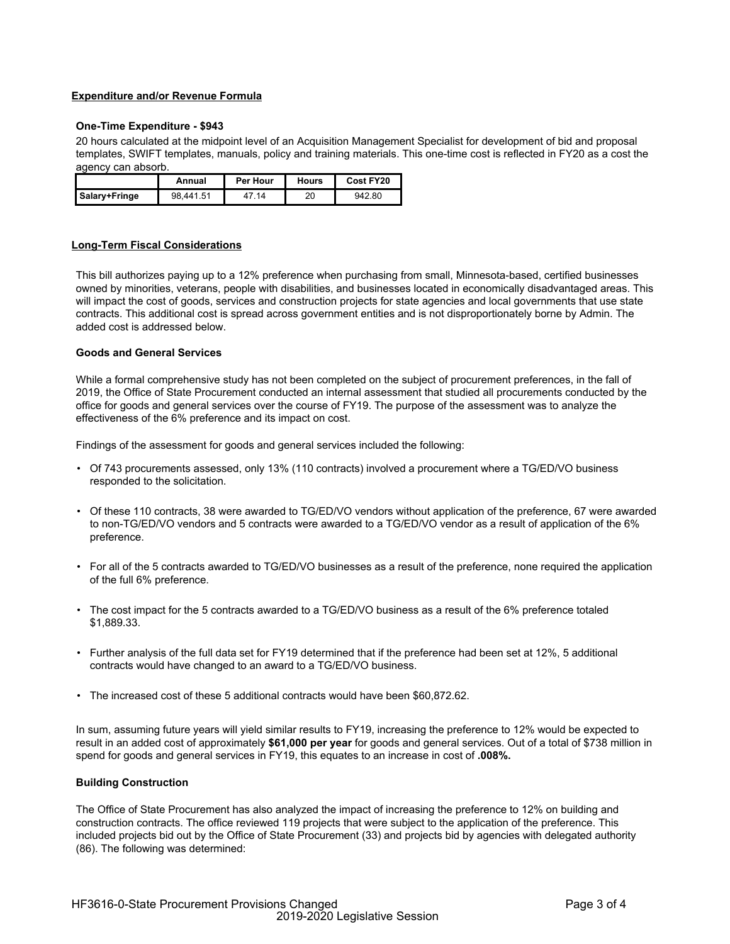# **Expenditure and/or Revenue Formula**

## **One-Time Expenditure - \$943**

20 hours calculated at the midpoint level of an Acquisition Management Specialist for development of bid and proposal templates, SWIFT templates, manuals, policy and training materials. This one-time cost is reflected in FY20 as a cost the agency can absorb.

|               | Annual    | Per Hour | Hours | Cost FY20 |
|---------------|-----------|----------|-------|-----------|
| Salary+Fringe | 98.441.51 | 7 14     | 20    | 942.80    |

## **Long-Term Fiscal Considerations**

This bill authorizes paying up to a 12% preference when purchasing from small, Minnesota-based, certified businesses owned by minorities, veterans, people with disabilities, and businesses located in economically disadvantaged areas. This will impact the cost of goods, services and construction projects for state agencies and local governments that use state contracts. This additional cost is spread across government entities and is not disproportionately borne by Admin. The added cost is addressed below.

## **Goods and General Services**

While a formal comprehensive study has not been completed on the subject of procurement preferences, in the fall of 2019, the Office of State Procurement conducted an internal assessment that studied all procurements conducted by the office for goods and general services over the course of FY19. The purpose of the assessment was to analyze the effectiveness of the 6% preference and its impact on cost.

Findings of the assessment for goods and general services included the following:

- Of 743 procurements assessed, only 13% (110 contracts) involved a procurement where a TG/ED/VO business responded to the solicitation.
- Of these 110 contracts, 38 were awarded to TG/ED/VO vendors without application of the preference, 67 were awarded to non-TG/ED/VO vendors and 5 contracts were awarded to a TG/ED/VO vendor as a result of application of the 6% preference.
- For all of the 5 contracts awarded to TG/ED/VO businesses as a result of the preference, none required the application of the full 6% preference.
- The cost impact for the 5 contracts awarded to a TG/ED/VO business as a result of the 6% preference totaled \$1,889.33.
- Further analysis of the full data set for FY19 determined that if the preference had been set at 12%, 5 additional contracts would have changed to an award to a TG/ED/VO business.
- The increased cost of these 5 additional contracts would have been \$60,872.62.

In sum, assuming future years will yield similar results to FY19, increasing the preference to 12% would be expected to result in an added cost of approximately **\$61,000 per year** for goods and general services. Out of a total of \$738 million in spend for goods and general services in FY19, this equates to an increase in cost of **.008%.**

## **Building Construction**

The Office of State Procurement has also analyzed the impact of increasing the preference to 12% on building and construction contracts. The office reviewed 119 projects that were subject to the application of the preference. This included projects bid out by the Office of State Procurement (33) and projects bid by agencies with delegated authority (86). The following was determined: